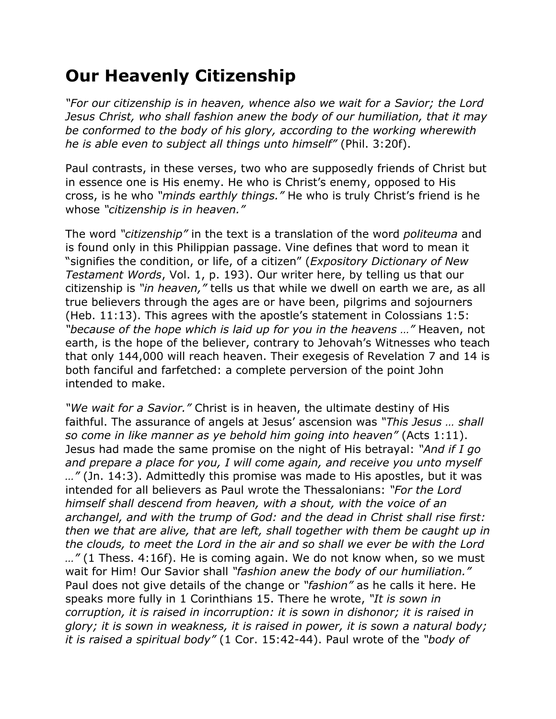## **Our Heavenly Citizenship**

*"For our citizenship is in heaven, whence also we wait for a Savior; the Lord Jesus Christ, who shall fashion anew the body of our humiliation, that it may be conformed to the body of his glory, according to the working wherewith he is able even to subject all things unto himself"* (Phil. 3:20f).

Paul contrasts, in these verses, two who are supposedly friends of Christ but in essence one is His enemy. He who is Christ's enemy, opposed to His cross, is he who *"minds earthly things."* He who is truly Christ's friend is he whose *"citizenship is in heaven."*

The word *"citizenship"* in the text is a translation of the word *politeuma* and is found only in this Philippian passage. Vine defines that word to mean it "signifies the condition, or life, of a citizen" (*Expository Dictionary of New Testament Words*, Vol. 1, p. 193). Our writer here, by telling us that our citizenship is *"in heaven,"* tells us that while we dwell on earth we are, as all true believers through the ages are or have been, pilgrims and sojourners (Heb. 11:13). This agrees with the apostle's statement in Colossians 1:5: *"because of the hope which is laid up for you in the heavens …"* Heaven, not earth, is the hope of the believer, contrary to Jehovah's Witnesses who teach that only 144,000 will reach heaven. Their exegesis of Revelation 7 and 14 is both fanciful and farfetched: a complete perversion of the point John intended to make.

*"We wait for a Savior."* Christ is in heaven, the ultimate destiny of His faithful. The assurance of angels at Jesus' ascension was *"This Jesus … shall so come in like manner as ye behold him going into heaven"* (Acts 1:11). Jesus had made the same promise on the night of His betrayal: *"And if I go and prepare a place for you, I will come again, and receive you unto myself …"* (Jn. 14:3). Admittedly this promise was made to His apostles, but it was intended for all believers as Paul wrote the Thessalonians: *"For the Lord himself shall descend from heaven, with a shout, with the voice of an archangel, and with the trump of God: and the dead in Christ shall rise first: then we that are alive, that are left, shall together with them be caught up in the clouds, to meet the Lord in the air and so shall we ever be with the Lord …"* (1 Thess. 4:16f). He is coming again. We do not know when, so we must wait for Him! Our Savior shall *"fashion anew the body of our humiliation."* Paul does not give details of the change or *"fashion"* as he calls it here. He speaks more fully in 1 Corinthians 15. There he wrote, *"It is sown in corruption, it is raised in incorruption: it is sown in dishonor; it is raised in glory; it is sown in weakness, it is raised in power, it is sown a natural body; it is raised a spiritual body"* (1 Cor. 15:42-44). Paul wrote of the *"body of*